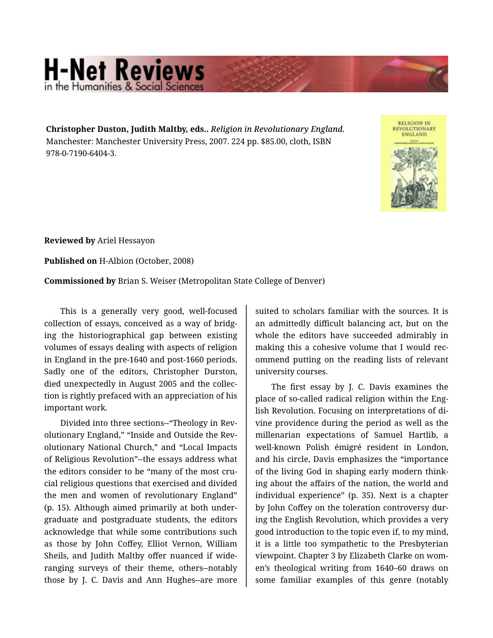## **H-Net Reviews** in the Humanities & Social S

**Christopher Duston, Judith Maltby, eds..** *Religion in Revolutionary England.*  Manchester: Manchester University Press, 2007. 224 pp. \$85.00, cloth, ISBN 978-0-7190-6404-3.



**Reviewed by** Ariel Hessayon

**Published on** H-Albion (October, 2008)

**Commissioned by** Brian S. Weiser (Metropolitan State College of Denver)

This is a generally very good, well-focused collection of essays, conceived as a way of bridg‐ ing the historiographical gap between existing volumes of essays dealing with aspects of religion in England in the pre-1640 and post-1660 periods. Sadly one of the editors, Christopher Durston, died unexpectedly in August 2005 and the collec‐ tion is rightly prefaced with an appreciation of his important work.

Divided into three sections--"Theology in Rev‐ olutionary England," "Inside and Outside the Rev‐ olutionary National Church," and "Local Impacts of Religious Revolution"--the essays address what the editors consider to be "many of the most cru‐ cial religious questions that exercised and divided the men and women of revolutionary England" (p. 15). Although aimed primarily at both under‐ graduate and postgraduate students, the editors acknowledge that while some contributions such as those by John Coffey, Elliot Vernon, William Sheils, and Judith Maltby offer nuanced if wideranging surveys of their theme, others--notably those by J. C. Davis and Ann Hughes--are more

suited to scholars familiar with the sources. It is an admittedly difficult balancing act, but on the whole the editors have succeeded admirably in making this a cohesive volume that I would rec‐ ommend putting on the reading lists of relevant university courses.

The first essay by J. C. Davis examines the place of so-called radical religion within the Eng‐ lish Revolution. Focusing on interpretations of di‐ vine providence during the period as well as the millenarian expectations of Samuel Hartlib, a well-known Polish émigré resident in London, and his circle, Davis emphasizes the "importance of the living God in shaping early modern think‐ ing about the affairs of the nation, the world and individual experience" (p. 35). Next is a chapter by John Coffey on the toleration controversy dur‐ ing the English Revolution, which provides a very good introduction to the topic even if, to my mind, it is a little too sympathetic to the Presbyterian viewpoint. Chapter 3 by Elizabeth Clarke on wom‐ en's theological writing from 1640–60 draws on some familiar examples of this genre (notably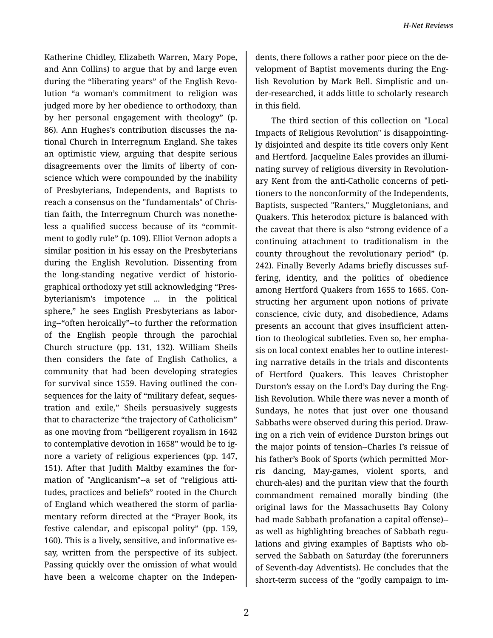Katherine Chidley, Elizabeth Warren, Mary Pope, and Ann Collins) to argue that by and large even during the "liberating years" of the English Revo‐ lution "a woman's commitment to religion was judged more by her obedience to orthodoxy, than by her personal engagement with theology" (p. 86). Ann Hughes's contribution discusses the na‐ tional Church in Interregnum England. She takes an optimistic view, arguing that despite serious disagreements over the limits of liberty of con‐ science which were compounded by the inability of Presbyterians, Independents, and Baptists to reach a consensus on the "fundamentals" of Chris‐ tian faith, the Interregnum Church was nonethe‐ less a qualified success because of its "commit‐ ment to godly rule" (p. 109). Elliot Vernon adopts a similar position in his essay on the Presbyterians during the English Revolution. Dissenting from the long-standing negative verdict of historio‐ graphical orthodoxy yet still acknowledging "Pres‐ byterianism's impotence ... in the political sphere," he sees English Presbyterians as labor‐ ing--"often heroically"--to further the reformation of the English people through the parochial Church structure (pp. 131, 132). William Sheils then considers the fate of English Catholics, a community that had been developing strategies for survival since 1559. Having outlined the con‐ sequences for the laity of "military defeat, seques‐ tration and exile," Sheils persuasively suggests that to characterize "the trajectory of Catholicism" as one moving from "belligerent royalism in 1642 to contemplative devotion in 1658" would be to ig‐ nore a variety of religious experiences (pp. 147, 151). After that Judith Maltby examines the for‐ mation of "Anglicanism"--a set of "religious atti‐ tudes, practices and beliefs" rooted in the Church of England which weathered the storm of parlia‐ mentary reform directed at the "Prayer Book, its festive calendar, and episcopal polity" (pp. 159, 160). This is a lively, sensitive, and informative es‐ say, written from the perspective of its subject. Passing quickly over the omission of what would have been a welcome chapter on the Indepen‐

dents, there follows a rather poor piece on the de‐ velopment of Baptist movements during the Eng‐ lish Revolution by Mark Bell. Simplistic and un‐ der-researched, it adds little to scholarly research in this field.

The third section of this collection on "Local Impacts of Religious Revolution" is disappointing‐ ly disjointed and despite its title covers only Kent and Hertford. Jacqueline Eales provides an illumi‐ nating survey of religious diversity in Revolution‐ ary Kent from the anti-Catholic concerns of peti‐ tioners to the nonconformity of the Independents, Baptists, suspected "Ranters," Muggletonians, and Quakers. This heterodox picture is balanced with the caveat that there is also "strong evidence of a continuing attachment to traditionalism in the county throughout the revolutionary period" (p. 242). Finally Beverly Adams briefly discusses suf‐ fering, identity, and the politics of obedience among Hertford Quakers from 1655 to 1665. Con‐ structing her argument upon notions of private conscience, civic duty, and disobedience, Adams presents an account that gives insufficient atten‐ tion to theological subtleties. Even so, her empha‐ sis on local context enables her to outline interest‐ ing narrative details in the trials and discontents of Hertford Quakers. This leaves Christopher Durston's essay on the Lord's Day during the Eng‐ lish Revolution. While there was never a month of Sundays, he notes that just over one thousand Sabbaths were observed during this period. Draw‐ ing on a rich vein of evidence Durston brings out the major points of tension--Charles I's reissue of his father's Book of Sports (which permitted Mor‐ ris dancing, May-games, violent sports, and church-ales) and the puritan view that the fourth commandment remained morally binding (the original laws for the Massachusetts Bay Colony had made Sabbath profanation a capital offense)- as well as highlighting breaches of Sabbath regu‐ lations and giving examples of Baptists who ob‐ served the Sabbath on Saturday (the forerunners of Seventh-day Adventists). He concludes that the short-term success of the "godly campaign to im‐